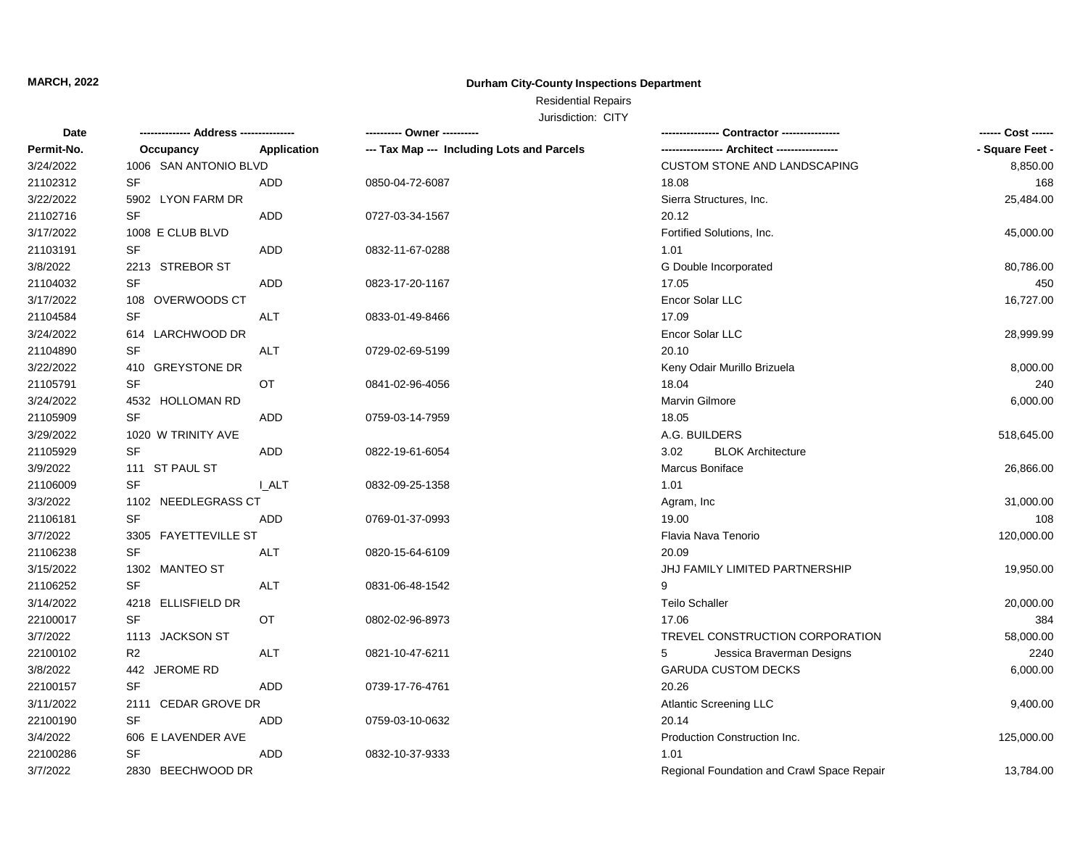### **Durham City-County Inspections Department**

## Residential Repairs

| <b>Date</b> |                                             |              | ---------- Owner ----------                | Contractor ---------------                 | ------ Cost ------ |
|-------------|---------------------------------------------|--------------|--------------------------------------------|--------------------------------------------|--------------------|
| Permit-No.  | Occupancy                                   | Application  | --- Tax Map --- Including Lots and Parcels |                                            | - Square Feet -    |
| 3/24/2022   | 1006 SAN ANTONIO BLVD                       |              |                                            | CUSTOM STONE AND LANDSCAPING               | 8,850.00           |
| 21102312    | <b>SF</b>                                   | <b>ADD</b>   | 0850-04-72-6087                            | 18.08                                      | 168                |
| 3/22/2022   | 5902 LYON FARM DR                           |              |                                            | Sierra Structures, Inc.                    | 25,484.00          |
| 21102716    | <b>SF</b>                                   | <b>ADD</b>   | 0727-03-34-1567                            | 20.12                                      |                    |
| 3/17/2022   | 1008 E CLUB BLVD                            |              |                                            | Fortified Solutions, Inc.                  | 45,000.00          |
| 21103191    | SF                                          | ADD          | 0832-11-67-0288                            | 1.01                                       |                    |
| 3/8/2022    | 2213 STREBOR ST                             |              |                                            | G Double Incorporated                      | 80,786.00          |
| 21104032    | SF                                          | ADD          | 0823-17-20-1167                            | 17.05                                      | 450                |
| 3/17/2022   | 108 OVERWOODS CT                            |              |                                            | Encor Solar LLC                            | 16,727.00          |
| 21104584    | <b>SF</b>                                   | <b>ALT</b>   | 0833-01-49-8466                            | 17.09                                      |                    |
| 3/24/2022   | 614 LARCHWOOD DR                            |              |                                            | Encor Solar LLC                            | 28,999.99          |
| 21104890    | <b>SF</b>                                   | <b>ALT</b>   | 0729-02-69-5199                            | 20.10                                      |                    |
| 3/22/2022   | 410 GREYSTONE DR                            |              |                                            | Keny Odair Murillo Brizuela                | 8,000.00           |
| 21105791    | <b>SF</b>                                   | OT           | 0841-02-96-4056                            | 18.04                                      | 240                |
| 3/24/2022   | 4532 HOLLOMAN RD                            |              |                                            | Marvin Gilmore                             | 6,000.00           |
| 21105909    | <b>SF</b>                                   | <b>ADD</b>   | 0759-03-14-7959                            | 18.05                                      |                    |
| 3/29/2022   | 1020 W TRINITY AVE                          |              |                                            | A.G. BUILDERS                              | 518,645.00         |
| 21105929    | <b>SF</b>                                   | <b>ADD</b>   | 0822-19-61-6054                            | 3.02<br><b>BLOK Architecture</b>           |                    |
| 3/9/2022    | 111 ST PAUL ST                              |              |                                            | Marcus Boniface                            | 26,866.00          |
| 21106009    | <b>SF</b>                                   | <b>L_ALT</b> | 0832-09-25-1358                            | 1.01                                       |                    |
| 3/3/2022    |                                             |              |                                            | Agram, Inc.                                | 31,000.00          |
| 21106181    | <b>SF</b>                                   | ADD          | 0769-01-37-0993                            | 19.00                                      | 108                |
| 3/7/2022    | 1102 NEEDLEGRASS CT<br>3305 FAYETTEVILLE ST |              |                                            | Flavia Nava Tenorio                        | 120,000.00         |
| 21106238    | <b>SF</b>                                   | <b>ALT</b>   | 0820-15-64-6109                            | 20.09                                      |                    |
| 3/15/2022   | 1302 MANTEO ST                              |              |                                            | JHJ FAMILY LIMITED PARTNERSHIP             | 19,950.00          |
| 21106252    | <b>SF</b>                                   | <b>ALT</b>   | 0831-06-48-1542                            | 9                                          |                    |
| 3/14/2022   | 4218 ELLISFIELD DR                          |              |                                            | <b>Teilo Schaller</b>                      | 20,000.00          |
| 22100017    | <b>SF</b>                                   | <b>OT</b>    | 0802-02-96-8973                            | 17.06                                      | 384                |
| 3/7/2022    | 1113 JACKSON ST                             |              |                                            | TREVEL CONSTRUCTION CORPORATION            | 58,000.00          |
| 22100102    | R <sub>2</sub>                              | <b>ALT</b>   | 0821-10-47-6211                            | Jessica Braverman Designs<br>5             | 2240               |
| 3/8/2022    | <b>JEROME RD</b><br>442                     |              |                                            | <b>GARUDA CUSTOM DECKS</b>                 | 6,000.00           |
| 22100157    | SF                                          | <b>ADD</b>   | 0739-17-76-4761                            | 20.26                                      |                    |
| 3/11/2022   | 2111 CEDAR GROVE DR                         |              |                                            | <b>Atlantic Screening LLC</b>              | 9,400.00           |
| 22100190    | <b>SF</b>                                   | <b>ADD</b>   | 0759-03-10-0632                            | 20.14                                      |                    |
| 3/4/2022    | 606 E LAVENDER AVE                          |              |                                            | Production Construction Inc.               | 125,000.00         |
| 22100286    | <b>SF</b>                                   | ADD          | 0832-10-37-9333                            | 1.01                                       |                    |
| 3/7/2022    | 2830 BEECHWOOD DR                           |              |                                            | Regional Foundation and Crawl Space Repair | 13,784.00          |
|             |                                             |              |                                            |                                            |                    |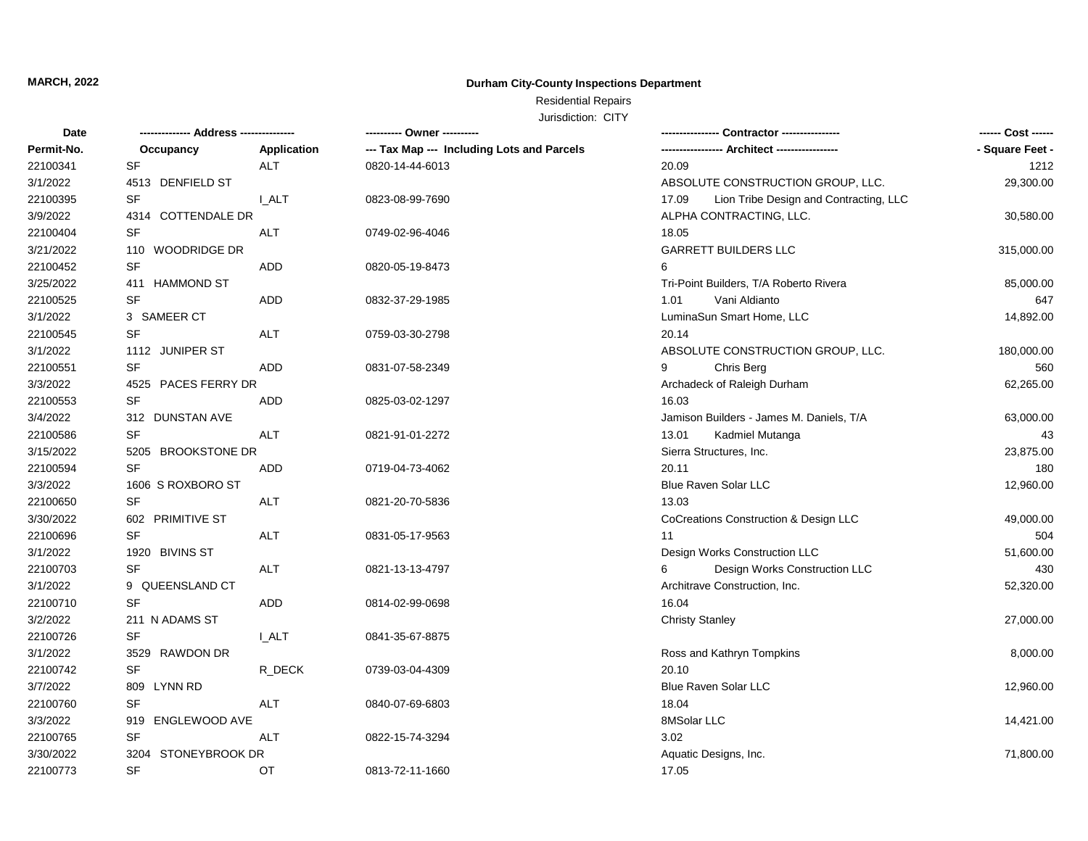### **Durham City-County Inspections Department**

## Residential Repairs

| Date       |                        | <b>Contractor ----------------</b> |                                            |                                                 |                 |
|------------|------------------------|------------------------------------|--------------------------------------------|-------------------------------------------------|-----------------|
| Permit-No. | Occupancy              | Application                        | --- Tax Map --- Including Lots and Parcels | ----------------- Architect -----------------   | - Square Feet - |
| 22100341   | SF                     | <b>ALT</b>                         | 0820-14-44-6013                            | 20.09                                           | 1212            |
| 3/1/2022   | 4513 DENFIELD ST       |                                    |                                            | ABSOLUTE CONSTRUCTION GROUP, LLC.               | 29,300.00       |
| 22100395   | <b>SF</b>              | I ALT                              | 0823-08-99-7690                            | Lion Tribe Design and Contracting, LLC<br>17.09 |                 |
| 3/9/2022   | 4314 COTTENDALE DR     |                                    |                                            | ALPHA CONTRACTING, LLC.                         | 30,580.00       |
| 22100404   | SF                     | ALT                                | 0749-02-96-4046                            | 18.05                                           |                 |
| 3/21/2022  | 110 WOODRIDGE DR       |                                    |                                            | <b>GARRETT BUILDERS LLC</b>                     | 315,000.00      |
| 22100452   | <b>SF</b>              | ADD                                | 0820-05-19-8473                            | 6                                               |                 |
| 3/25/2022  | 411 HAMMOND ST         |                                    |                                            | Tri-Point Builders, T/A Roberto Rivera          | 85,000.00       |
| 22100525   | <b>SF</b>              | ADD                                | 0832-37-29-1985                            | Vani Aldianto<br>1.01                           | 647             |
| 3/1/2022   | 3 SAMEER CT            |                                    |                                            | LuminaSun Smart Home, LLC                       | 14,892.00       |
| 22100545   | <b>SF</b>              | ALT                                | 0759-03-30-2798                            | 20.14                                           |                 |
| 3/1/2022   | 1112 JUNIPER ST        |                                    |                                            | ABSOLUTE CONSTRUCTION GROUP, LLC.               | 180,000.00      |
| 22100551   | <b>SF</b>              | ADD                                | 0831-07-58-2349                            | Chris Berg<br>9                                 | 560             |
| 3/3/2022   | 4525 PACES FERRY DR    |                                    |                                            | Archadeck of Raleigh Durham                     | 62,265.00       |
| 22100553   | <b>SF</b>              | ADD                                | 0825-03-02-1297                            | 16.03                                           |                 |
| 3/4/2022   | 312 DUNSTAN AVE        |                                    |                                            | Jamison Builders - James M. Daniels, T/A        | 63,000.00       |
| 22100586   | <b>SF</b>              | ALT                                | 0821-91-01-2272                            | 13.01<br>Kadmiel Mutanga                        | 43              |
| 3/15/2022  | 5205 BROOKSTONE DR     |                                    |                                            | Sierra Structures, Inc.                         | 23,875.00       |
| 22100594   | <b>SF</b>              | ADD                                | 0719-04-73-4062                            | 20.11                                           | 180             |
| 3/3/2022   | 1606 S ROXBORO ST      |                                    |                                            | Blue Raven Solar LLC                            | 12,960.00       |
| 22100650   | <b>SF</b>              | <b>ALT</b>                         | 0821-20-70-5836                            | 13.03                                           |                 |
| 3/30/2022  | 602 PRIMITIVE ST       |                                    |                                            | CoCreations Construction & Design LLC           | 49,000.00       |
| 22100696   | <b>SF</b>              | ALT                                | 0831-05-17-9563                            | 11                                              | 504             |
| 3/1/2022   | 1920 BIVINS ST         |                                    |                                            | Design Works Construction LLC                   | 51,600.00       |
| 22100703   | <b>SF</b>              | <b>ALT</b>                         | 0821-13-13-4797                            | Design Works Construction LLC<br>6              | 430             |
| 3/1/2022   | 9 QUEENSLAND CT        |                                    |                                            | Architrave Construction, Inc.                   | 52,320.00       |
| 22100710   | <b>SF</b>              | ADD                                | 0814-02-99-0698                            | 16.04                                           |                 |
| 3/2/2022   | 211 N ADAMS ST         |                                    |                                            | <b>Christy Stanley</b>                          | 27,000.00       |
| 22100726   | <b>SF</b>              | <b>I_ALT</b>                       | 0841-35-67-8875                            |                                                 |                 |
| 3/1/2022   | 3529 RAWDON DR         |                                    |                                            | Ross and Kathryn Tompkins                       | 8,000.00        |
| 22100742   | <b>SF</b>              | R_DECK                             | 0739-03-04-4309                            | 20.10                                           |                 |
| 3/7/2022   | 809 LYNN RD            |                                    |                                            | Blue Raven Solar LLC                            | 12,960.00       |
| 22100760   | <b>SF</b>              | ALT                                | 0840-07-69-6803                            | 18.04                                           |                 |
| 3/3/2022   | 919 ENGLEWOOD AVE      |                                    |                                            | 8MSolar LLC                                     | 14,421.00       |
| 22100765   | <b>SF</b>              | ALT                                | 0822-15-74-3294                            | 3.02                                            |                 |
| 3/30/2022  | STONEYBROOK DR<br>3204 |                                    |                                            | Aquatic Designs, Inc.                           | 71,800.00       |
| 22100773   | <b>SF</b>              | OT                                 | 0813-72-11-1660                            | 17.05                                           |                 |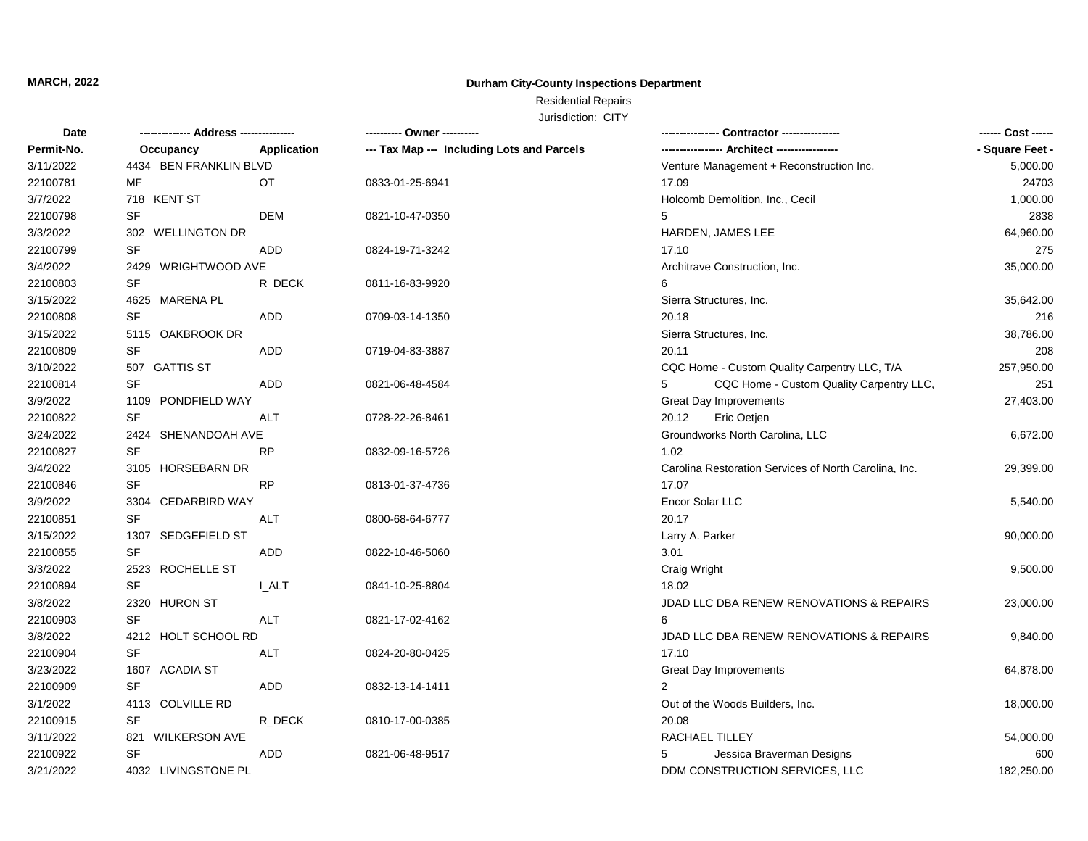### **Durham City-County Inspections Department**

## Residential Repairs

| Date       |                        |              | ---------- Owner ----------                |                                                       |                 |
|------------|------------------------|--------------|--------------------------------------------|-------------------------------------------------------|-----------------|
| Permit-No. | Occupancy              | Application  | --- Tax Map --- Including Lots and Parcels |                                                       | - Square Feet - |
| 3/11/2022  | 4434 BEN FRANKLIN BLVD |              |                                            | Venture Management + Reconstruction Inc.              | 5,000.00        |
| 22100781   | MF                     | OT           | 0833-01-25-6941                            | 17.09                                                 | 24703           |
| 3/7/2022   | 718 KENT ST            |              |                                            | Holcomb Demolition, Inc., Cecil                       | 1,000.00        |
| 22100798   | <b>SF</b>              | <b>DEM</b>   | 0821-10-47-0350                            | 5                                                     | 2838            |
| 3/3/2022   | 302 WELLINGTON DR      |              |                                            | HARDEN, JAMES LEE                                     | 64,960.00       |
| 22100799   | SF                     | <b>ADD</b>   | 0824-19-71-3242                            | 17.10                                                 | 275             |
| 3/4/2022   | WRIGHTWOOD AVE<br>2429 |              |                                            | Architrave Construction, Inc.                         | 35,000.00       |
| 22100803   | <b>SF</b>              | R_DECK       | 0811-16-83-9920                            | 6                                                     |                 |
| 3/15/2022  | 4625 MARENA PL         |              |                                            | Sierra Structures, Inc.                               | 35,642.00       |
| 22100808   | <b>SF</b>              | <b>ADD</b>   | 0709-03-14-1350                            | 20.18                                                 | 216             |
| 3/15/2022  | 5115 OAKBROOK DR       |              |                                            | Sierra Structures, Inc.                               | 38,786.00       |
| 22100809   | <b>SF</b>              | <b>ADD</b>   | 0719-04-83-3887                            | 20.11                                                 | 208             |
| 3/10/2022  | 507 GATTIS ST          |              |                                            | CQC Home - Custom Quality Carpentry LLC, T/A          | 257,950.00      |
| 22100814   | <b>SF</b>              | <b>ADD</b>   | 0821-06-48-4584                            | CQC Home - Custom Quality Carpentry LLC,<br>5         | 251             |
| 3/9/2022   | 1109 PONDFIELD WAY     |              |                                            | Great Day Improvements                                | 27,403.00       |
| 22100822   | <b>SF</b>              | ALT          | 0728-22-26-8461                            | Eric Oetjen<br>20.12                                  |                 |
| 3/24/2022  | 2424 SHENANDOAH AVE    |              |                                            | Groundworks North Carolina, LLC                       | 6,672.00        |
| 22100827   | <b>SF</b>              | <b>RP</b>    | 0832-09-16-5726                            | 1.02                                                  |                 |
| 3/4/2022   | 3105 HORSEBARN DR      |              |                                            | Carolina Restoration Services of North Carolina, Inc. | 29,399.00       |
| 22100846   | <b>SF</b>              | <b>RP</b>    | 0813-01-37-4736                            | 17.07                                                 |                 |
| 3/9/2022   | 3304<br>CEDARBIRD WAY  |              |                                            | Encor Solar LLC                                       | 5,540.00        |
| 22100851   | <b>SF</b>              | <b>ALT</b>   | 0800-68-64-6777                            | 20.17                                                 |                 |
| 3/15/2022  | SEDGEFIELD ST<br>1307  |              |                                            | Larry A. Parker                                       | 90,000.00       |
| 22100855   | <b>SF</b>              | ADD          | 0822-10-46-5060                            | 3.01                                                  |                 |
| 3/3/2022   | 2523 ROCHELLE ST       |              |                                            | Craig Wright                                          | 9,500.00        |
| 22100894   | <b>SF</b>              | <b>I_ALT</b> | 0841-10-25-8804                            | 18.02                                                 |                 |
| 3/8/2022   | 2320 HURON ST          |              |                                            | JDAD LLC DBA RENEW RENOVATIONS & REPAIRS              | 23,000.00       |
| 22100903   | <b>SF</b>              | <b>ALT</b>   | 0821-17-02-4162                            | 6                                                     |                 |
| 3/8/2022   | 4212 HOLT SCHOOL RD    |              |                                            | JDAD LLC DBA RENEW RENOVATIONS & REPAIRS              | 9,840.00        |
| 22100904   | <b>SF</b>              | <b>ALT</b>   | 0824-20-80-0425                            | 17.10                                                 |                 |
| 3/23/2022  | 1607 ACADIA ST         |              |                                            | Great Day Improvements                                | 64,878.00       |
| 22100909   | <b>SF</b>              | <b>ADD</b>   | 0832-13-14-1411                            | 2                                                     |                 |
| 3/1/2022   | 4113 COLVILLE RD       |              |                                            | Out of the Woods Builders, Inc.                       | 18,000.00       |
| 22100915   | <b>SF</b>              | R_DECK       | 0810-17-00-0385                            | 20.08                                                 |                 |
| 3/11/2022  | 821 WILKERSON AVE      |              |                                            | <b>RACHAEL TILLEY</b>                                 | 54,000.00       |
| 22100922   | <b>SF</b>              | ADD          | 0821-06-48-9517                            | Jessica Braverman Designs<br>5                        | 600             |
| 3/21/2022  | 4032 LIVINGSTONE PL    |              |                                            | DDM CONSTRUCTION SERVICES, LLC                        | 182,250.00      |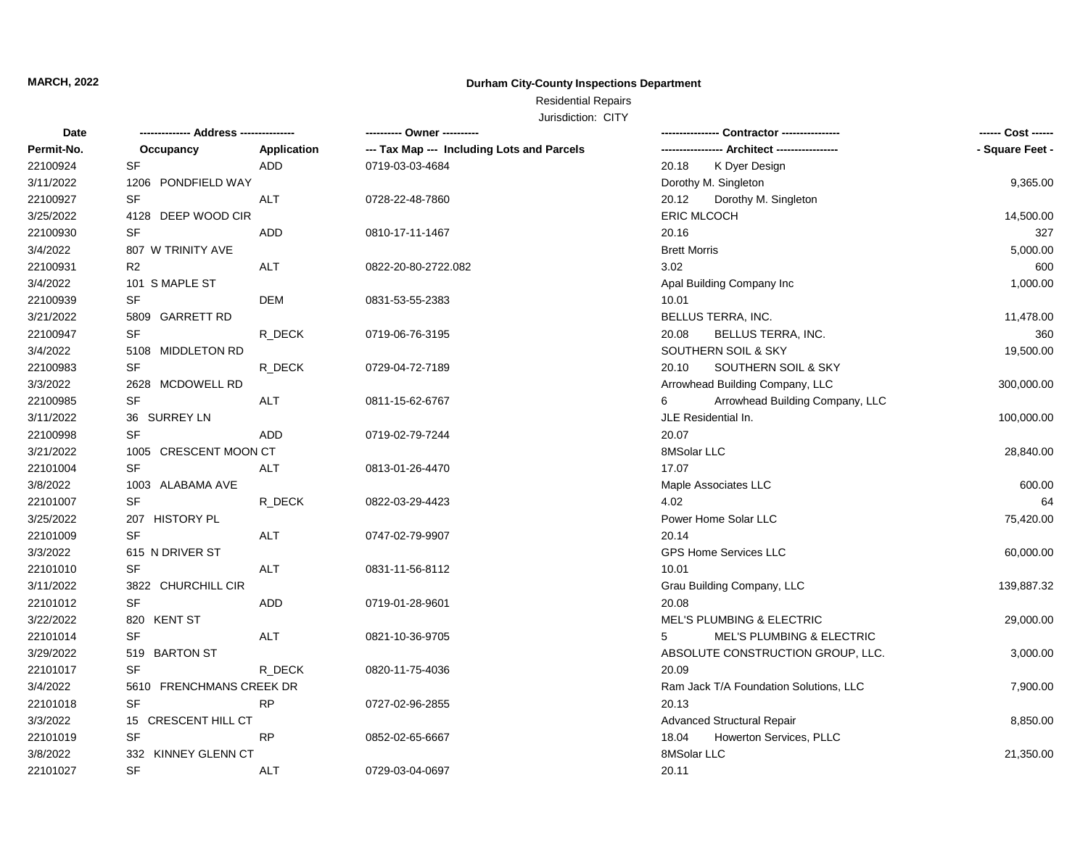### **Durham City-County Inspections Department**

## Residential Repairs

| Date       |                          |                    | ---------- Owner ----------                |                                           | ------ Cost ------ |
|------------|--------------------------|--------------------|--------------------------------------------|-------------------------------------------|--------------------|
| Permit-No. | Occupancy                | <b>Application</b> | --- Tax Map --- Including Lots and Parcels |                                           | - Square Feet -    |
| 22100924   | <b>SF</b>                | <b>ADD</b>         | 0719-03-03-4684                            | K Dyer Design<br>20.18                    |                    |
| 3/11/2022  | 1206 PONDFIELD WAY       |                    |                                            | Dorothy M. Singleton                      | 9,365.00           |
| 22100927   | <b>SF</b>                | <b>ALT</b>         | 0728-22-48-7860                            | Dorothy M. Singleton<br>20.12             |                    |
| 3/25/2022  | 4128 DEEP WOOD CIR       |                    |                                            | <b>ERIC MLCOCH</b>                        | 14,500.00          |
| 22100930   | <b>SF</b>                | <b>ADD</b>         | 0810-17-11-1467                            | 20.16                                     | 327                |
| 3/4/2022   | 807 W TRINITY AVE        |                    |                                            | <b>Brett Morris</b>                       | 5,000.00           |
| 22100931   | R <sub>2</sub>           | ALT                | 0822-20-80-2722.082                        | 3.02                                      | 600                |
| 3/4/2022   | 101 S MAPLE ST           |                    |                                            | Apal Building Company Inc                 | 1,000.00           |
| 22100939   | <b>SF</b>                | <b>DEM</b>         | 0831-53-55-2383                            | 10.01                                     |                    |
| 3/21/2022  | 5809 GARRETT RD          |                    |                                            | BELLUS TERRA, INC.                        | 11,478.00          |
| 22100947   | <b>SF</b>                | R_DECK             | 0719-06-76-3195                            | 20.08<br>BELLUS TERRA, INC.               | 360                |
| 3/4/2022   | 5108 MIDDLETON RD        |                    |                                            | SOUTHERN SOIL & SKY                       | 19,500.00          |
| 22100983   | <b>SF</b>                | R_DECK             | 0729-04-72-7189                            | SOUTHERN SOIL & SKY<br>20.10              |                    |
| 3/3/2022   | 2628 MCDOWELL RD         |                    |                                            | Arrowhead Building Company, LLC           | 300,000.00         |
| 22100985   | <b>SF</b>                | ALT                | 0811-15-62-6767                            | Arrowhead Building Company, LLC<br>6      |                    |
| 3/11/2022  | 36 SURREY LN             |                    |                                            | JLE Residential In.                       | 100,000.00         |
| 22100998   | <b>SF</b>                | <b>ADD</b>         | 0719-02-79-7244                            | 20.07                                     |                    |
| 3/21/2022  | 1005 CRESCENT MOON CT    |                    |                                            | 8MSolar LLC                               | 28,840.00          |
| 22101004   | SF                       | ALT                | 0813-01-26-4470                            | 17.07                                     |                    |
| 3/8/2022   | 1003 ALABAMA AVE         |                    |                                            | Maple Associates LLC                      | 600.00             |
| 22101007   | <b>SF</b>                | R DECK             | 0822-03-29-4423                            | 4.02                                      | 64                 |
| 3/25/2022  | 207 HISTORY PL           |                    |                                            | Power Home Solar LLC                      | 75,420.00          |
| 22101009   | <b>SF</b>                | <b>ALT</b>         | 0747-02-79-9907                            | 20.14                                     |                    |
| 3/3/2022   | 615 N DRIVER ST          |                    |                                            | <b>GPS Home Services LLC</b>              | 60,000.00          |
| 22101010   | <b>SF</b>                | <b>ALT</b>         | 0831-11-56-8112                            | 10.01                                     |                    |
| 3/11/2022  | 3822 CHURCHILL CIR       |                    |                                            | Grau Building Company, LLC                | 139,887.32         |
| 22101012   | <b>SF</b>                | <b>ADD</b>         | 0719-01-28-9601                            | 20.08                                     |                    |
| 3/22/2022  | 820 KENT ST              |                    |                                            | <b>MEL'S PLUMBING &amp; ELECTRIC</b>      | 29,000.00          |
| 22101014   | <b>SF</b>                | <b>ALT</b>         | 0821-10-36-9705                            | <b>MEL'S PLUMBING &amp; ELECTRIC</b><br>5 |                    |
| 3/29/2022  | 519 BARTON ST            |                    |                                            | ABSOLUTE CONSTRUCTION GROUP, LLC.         | 3,000.00           |
| 22101017   | <b>SF</b>                | R_DECK             | 0820-11-75-4036                            | 20.09                                     |                    |
| 3/4/2022   | 5610 FRENCHMANS CREEK DR |                    |                                            | Ram Jack T/A Foundation Solutions, LLC    | 7,900.00           |
| 22101018   | <b>SF</b>                | <b>RP</b>          | 0727-02-96-2855                            | 20.13                                     |                    |
| 3/3/2022   | 15 CRESCENT HILL CT      |                    |                                            | <b>Advanced Structural Repair</b>         | 8,850.00           |
| 22101019   | <b>SF</b>                | <b>RP</b>          | 0852-02-65-6667                            | 18.04<br>Howerton Services, PLLC          |                    |
| 3/8/2022   | 332 KINNEY GLENN CT      |                    |                                            | 8MSolar LLC                               | 21,350.00          |
| 22101027   | <b>SF</b>                | <b>ALT</b>         | 0729-03-04-0697                            | 20.11                                     |                    |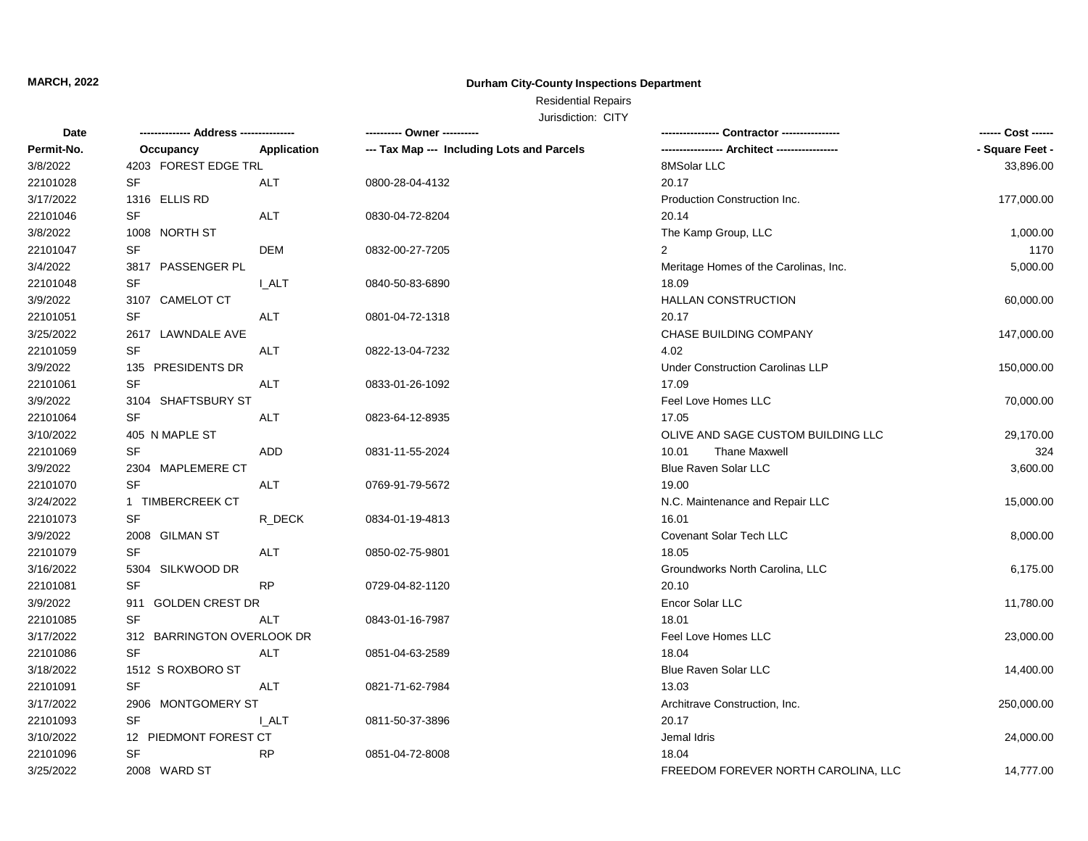### **Durham City-County Inspections Department**

## Residential Repairs

| Date       |                            |              | ---------- Owner ----------                | --- Contractor ----------------         |                 |
|------------|----------------------------|--------------|--------------------------------------------|-----------------------------------------|-----------------|
| Permit-No. | Occupancy                  | Application  | --- Tax Map --- Including Lots and Parcels |                                         | - Square Feet - |
| 3/8/2022   | 4203 FOREST EDGE TRL       |              |                                            | 8MSolar LLC                             | 33,896.00       |
| 22101028   | <b>SF</b>                  | <b>ALT</b>   | 0800-28-04-4132                            | 20.17                                   |                 |
| 3/17/2022  | 1316 ELLIS RD              |              |                                            | Production Construction Inc.            | 177,000.00      |
| 22101046   | SF                         | <b>ALT</b>   | 0830-04-72-8204                            | 20.14                                   |                 |
| 3/8/2022   | 1008 NORTH ST              |              |                                            | The Kamp Group, LLC                     | 1,000.00        |
| 22101047   | <b>SF</b>                  | DEM          | 0832-00-27-7205                            | $\overline{2}$                          | 1170            |
| 3/4/2022   | 3817 PASSENGER PL          |              |                                            | Meritage Homes of the Carolinas, Inc.   | 5,000.00        |
| 22101048   | SF                         | <b>I_ALT</b> | 0840-50-83-6890                            | 18.09                                   |                 |
| 3/9/2022   | 3107 CAMELOT CT            |              |                                            | <b>HALLAN CONSTRUCTION</b>              | 60,000.00       |
| 22101051   | <b>SF</b>                  | <b>ALT</b>   | 0801-04-72-1318                            | 20.17                                   |                 |
| 3/25/2022  | 2617 LAWNDALE AVE          |              |                                            | CHASE BUILDING COMPANY                  | 147,000.00      |
| 22101059   | <b>SF</b>                  | <b>ALT</b>   | 0822-13-04-7232                            | 4.02                                    |                 |
| 3/9/2022   | 135 PRESIDENTS DR          |              |                                            | <b>Under Construction Carolinas LLP</b> | 150,000.00      |
| 22101061   | <b>SF</b>                  | ALT          | 0833-01-26-1092                            | 17.09                                   |                 |
| 3/9/2022   | 3104 SHAFTSBURY ST         |              |                                            | Feel Love Homes LLC                     | 70,000.00       |
| 22101064   | SF                         | ALT          | 0823-64-12-8935                            | 17.05                                   |                 |
| 3/10/2022  | 405 N MAPLE ST             |              |                                            | OLIVE AND SAGE CUSTOM BUILDING LLC      | 29,170.00       |
| 22101069   | <b>SF</b>                  | <b>ADD</b>   | 0831-11-55-2024                            | <b>Thane Maxwell</b><br>10.01           | 324             |
| 3/9/2022   | 2304 MAPLEMERE CT          |              |                                            | Blue Raven Solar LLC                    | 3,600.00        |
| 22101070   | <b>SF</b>                  | ALT          | 0769-91-79-5672                            | 19.00                                   |                 |
| 3/24/2022  | 1 TIMBERCREEK CT           |              |                                            | N.C. Maintenance and Repair LLC         | 15,000.00       |
| 22101073   | <b>SF</b>                  | R DECK       | 0834-01-19-4813                            | 16.01                                   |                 |
| 3/9/2022   | 2008 GILMAN ST             |              |                                            | Covenant Solar Tech LLC                 | 8,000.00        |
| 22101079   | <b>SF</b>                  | ALT          | 0850-02-75-9801                            | 18.05                                   |                 |
| 3/16/2022  | 5304 SILKWOOD DR           |              |                                            | Groundworks North Carolina, LLC         | 6,175.00        |
| 22101081   | <b>SF</b>                  | <b>RP</b>    | 0729-04-82-1120                            | 20.10                                   |                 |
| 3/9/2022   | 911 GOLDEN CREST DR        |              |                                            | Encor Solar LLC                         | 11,780.00       |
| 22101085   | <b>SF</b>                  | <b>ALT</b>   | 0843-01-16-7987                            | 18.01                                   |                 |
| 3/17/2022  | 312 BARRINGTON OVERLOOK DR |              |                                            | Feel Love Homes LLC                     | 23,000.00       |
| 22101086   | <b>SF</b>                  | <b>ALT</b>   | 0851-04-63-2589                            | 18.04                                   |                 |
| 3/18/2022  | 1512 S ROXBORO ST          |              |                                            | Blue Raven Solar LLC                    | 14,400.00       |
| 22101091   | SF                         | ALT          | 0821-71-62-7984                            | 13.03                                   |                 |
| 3/17/2022  | 2906 MONTGOMERY ST         |              |                                            | Architrave Construction, Inc.           | 250,000.00      |
| 22101093   | SF                         | <b>LALT</b>  | 0811-50-37-3896                            | 20.17                                   |                 |
| 3/10/2022  | 12 PIEDMONT FOREST CT      |              |                                            | Jemal Idris                             | 24,000.00       |
| 22101096   | <b>SF</b>                  | <b>RP</b>    | 0851-04-72-8008                            | 18.04                                   |                 |
| 3/25/2022  | 2008 WARD ST               |              |                                            | FREEDOM FOREVER NORTH CAROLINA, LLC     | 14,777.00       |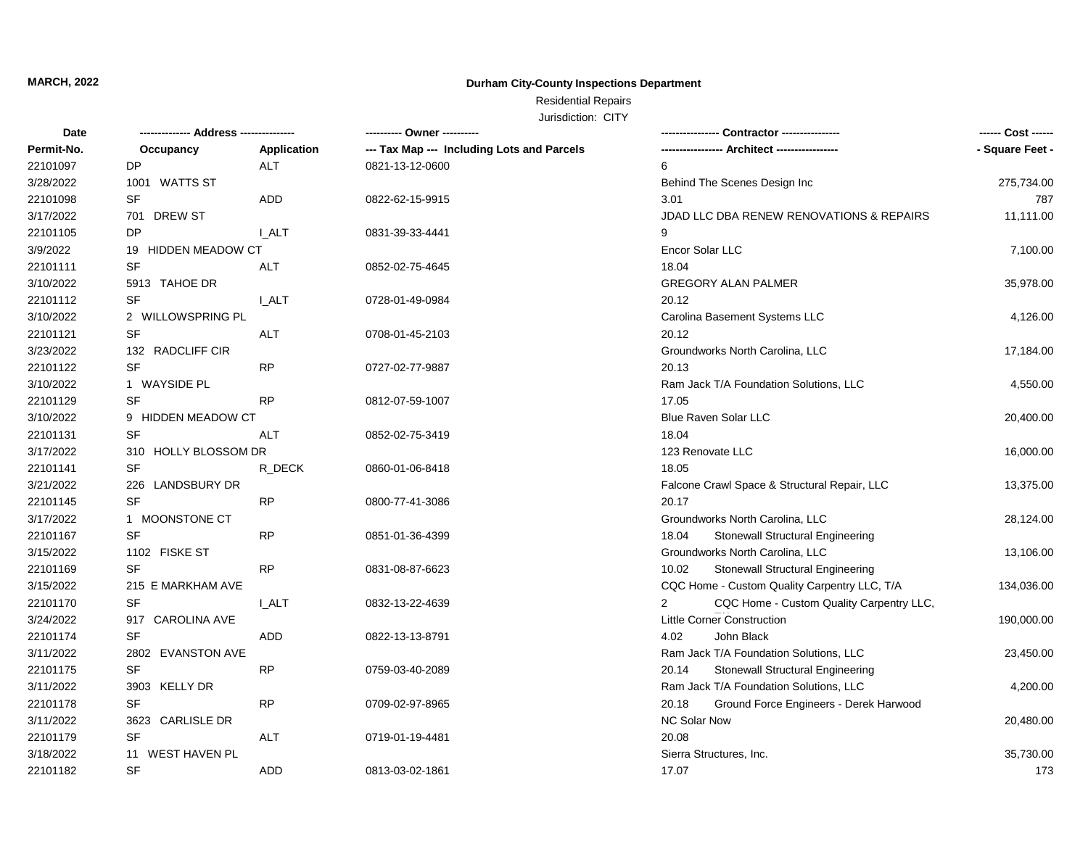### **Durham City-County Inspections Department**

## Residential Repairs

| Date       |                            |              | ---------- Owner ----------                |                                                            | ------ Cost ------ |
|------------|----------------------------|--------------|--------------------------------------------|------------------------------------------------------------|--------------------|
| Permit-No. | Occupancy                  | Application  | --- Tax Map --- Including Lots and Parcels | -- Architect -----------------                             | - Square Feet -    |
| 22101097   | <b>DP</b>                  | <b>ALT</b>   | 0821-13-12-0600                            | 6                                                          |                    |
| 3/28/2022  | 1001 WATTS ST              |              |                                            | Behind The Scenes Design Inc                               | 275,734.00         |
| 22101098   | <b>SF</b>                  | <b>ADD</b>   | 0822-62-15-9915                            | 3.01                                                       | 787                |
| 3/17/2022  | 701 DREW ST                |              |                                            | JDAD LLC DBA RENEW RENOVATIONS & REPAIRS                   | 11,111.00          |
| 22101105   | <b>DP</b>                  | I ALT        | 0831-39-33-4441                            | 9                                                          |                    |
| 3/9/2022   | 19 HIDDEN MEADOW CT        |              |                                            | Encor Solar LLC                                            | 7,100.00           |
| 22101111   | <b>SF</b>                  | ALT          | 0852-02-75-4645                            | 18.04                                                      |                    |
| 3/10/2022  | 5913 TAHOE DR              |              |                                            | <b>GREGORY ALAN PALMER</b>                                 | 35,978.00          |
| 22101112   | <b>SF</b>                  | I ALT        | 0728-01-49-0984                            | 20.12                                                      |                    |
| 3/10/2022  | 2 WILLOWSPRING PL          |              |                                            | Carolina Basement Systems LLC                              | 4,126.00           |
| 22101121   | <b>SF</b>                  | <b>ALT</b>   | 0708-01-45-2103                            | 20.12                                                      |                    |
| 3/23/2022  | 132 RADCLIFF CIR           |              |                                            | Groundworks North Carolina, LLC                            | 17,184.00          |
| 22101122   | <b>SF</b>                  | <b>RP</b>    | 0727-02-77-9887                            | 20.13                                                      |                    |
| 3/10/2022  | 1 WAYSIDE PL               |              |                                            | Ram Jack T/A Foundation Solutions, LLC                     | 4,550.00           |
| 22101129   | SF                         | <b>RP</b>    | 0812-07-59-1007                            | 17.05                                                      |                    |
| 3/10/2022  | 9 HIDDEN MEADOW CT         |              |                                            | <b>Blue Raven Solar LLC</b>                                | 20,400.00          |
| 22101131   | SF                         | ALT          | 0852-02-75-3419                            | 18.04                                                      |                    |
| 3/17/2022  | 310 HOLLY BLOSSOM DR       |              |                                            | 123 Renovate LLC                                           | 16,000.00          |
| 22101141   | <b>SF</b>                  | R_DECK       | 0860-01-06-8418                            | 18.05                                                      |                    |
| 3/21/2022  | 226 LANDSBURY DR           |              |                                            | Falcone Crawl Space & Structural Repair, LLC               | 13,375.00          |
| 22101145   | <b>SF</b>                  | <b>RP</b>    | 0800-77-41-3086                            | 20.17                                                      |                    |
| 3/17/2022  | 1 MOONSTONE CT             |              |                                            | Groundworks North Carolina, LLC                            | 28,124.00          |
| 22101167   | <b>SF</b>                  | <b>RP</b>    | 0851-01-36-4399                            | <b>Stonewall Structural Engineering</b><br>18.04           |                    |
| 3/15/2022  | 1102 FISKE ST              |              |                                            | Groundworks North Carolina, LLC                            | 13,106.00          |
| 22101169   | <b>SF</b>                  | <b>RP</b>    | 0831-08-87-6623                            | Stonewall Structural Engineering<br>10.02                  |                    |
| 3/15/2022  | 215 E MARKHAM AVE          |              |                                            | CQC Home - Custom Quality Carpentry LLC, T/A               | 134,036.00         |
| 22101170   | <b>SF</b>                  | <b>I_ALT</b> | 0832-13-22-4639                            | CQC Home - Custom Quality Carpentry LLC,<br>$\overline{2}$ |                    |
| 3/24/2022  | 917 CAROLINA AVE           |              |                                            | <b>Little Corner Construction</b>                          | 190,000.00         |
| 22101174   | <b>SF</b>                  | ADD          | 0822-13-13-8791                            | John Black<br>4.02                                         |                    |
| 3/11/2022  | 2802 EVANSTON AVE          |              |                                            | Ram Jack T/A Foundation Solutions, LLC                     | 23,450.00          |
| 22101175   | <b>SF</b>                  | <b>RP</b>    | 0759-03-40-2089                            | <b>Stonewall Structural Engineering</b><br>20.14           |                    |
| 3/11/2022  | 3903 KELLY DR              |              |                                            | Ram Jack T/A Foundation Solutions, LLC                     | 4,200.00           |
| 22101178   | <b>SF</b>                  | <b>RP</b>    | 0709-02-97-8965                            | Ground Force Engineers - Derek Harwood<br>20.18            |                    |
| 3/11/2022  | 3623<br><b>CARLISLE DR</b> |              |                                            | <b>NC Solar Now</b>                                        | 20,480.00          |
| 22101179   | <b>SF</b>                  | ALT          | 0719-01-19-4481                            | 20.08                                                      |                    |
| 3/18/2022  | 11 WEST HAVEN PL           |              |                                            | Sierra Structures, Inc.                                    | 35,730.00          |
| 22101182   | <b>SF</b>                  | <b>ADD</b>   | 0813-03-02-1861                            | 17.07                                                      | 173                |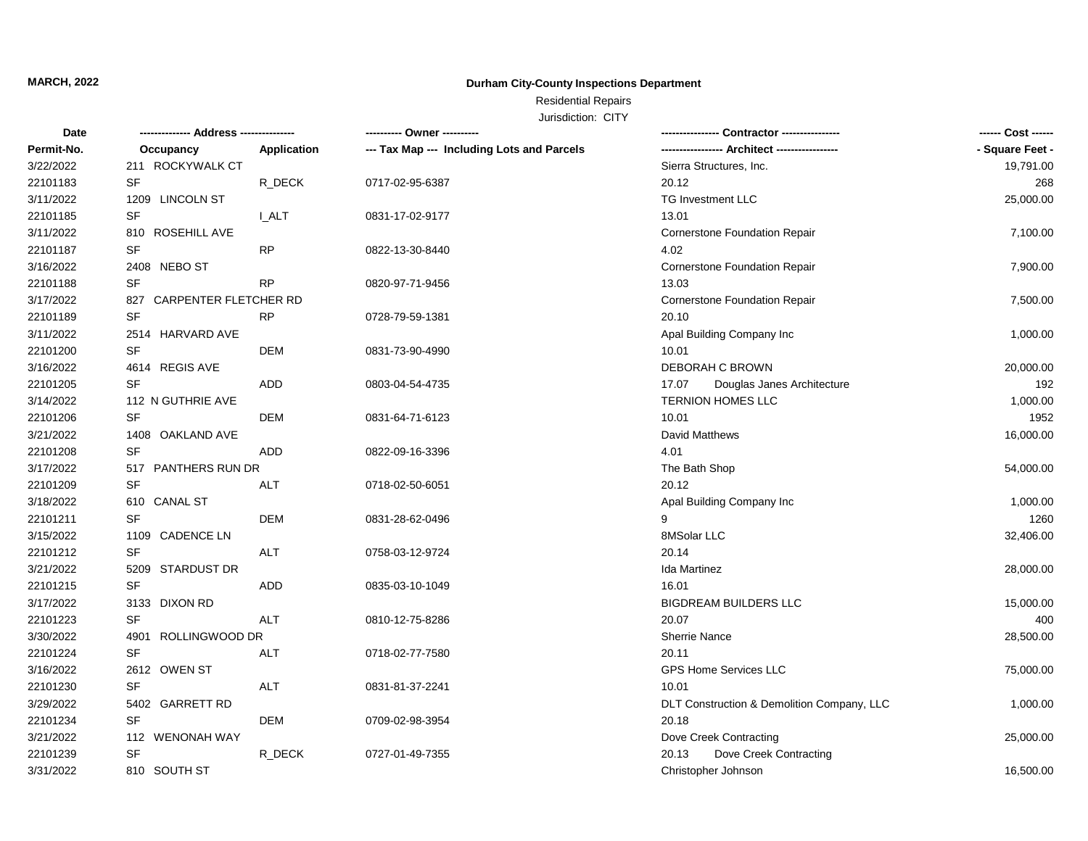### **Durham City-County Inspections Department**

## Residential Repairs

| Date       | ------------- Address -------------- |              | ---------- Owner ----------                |                                            | ------ Cost ------ |
|------------|--------------------------------------|--------------|--------------------------------------------|--------------------------------------------|--------------------|
| Permit-No. | Occupancy                            | Application  | --- Tax Map --- Including Lots and Parcels |                                            | - Square Feet -    |
| 3/22/2022  | 211 ROCKYWALK CT                     |              |                                            | Sierra Structures, Inc.                    | 19,791.00          |
| 22101183   | <b>SF</b>                            | R_DECK       | 0717-02-95-6387                            | 20.12                                      | 268                |
| 3/11/2022  | 1209<br><b>LINCOLN ST</b>            |              |                                            | TG Investment LLC                          | 25,000.00          |
| 22101185   | SF                                   | <b>I_ALT</b> | 0831-17-02-9177                            | 13.01                                      |                    |
| 3/11/2022  | 810 ROSEHILL AVE                     |              |                                            | Cornerstone Foundation Repair              | 7,100.00           |
| 22101187   | <b>SF</b>                            | <b>RP</b>    | 0822-13-30-8440                            | 4.02                                       |                    |
| 3/16/2022  | 2408 NEBO ST                         |              |                                            | Cornerstone Foundation Repair              | 7,900.00           |
| 22101188   | <b>SF</b>                            | <b>RP</b>    | 0820-97-71-9456                            | 13.03                                      |                    |
| 3/17/2022  | 827 CARPENTER FLETCHER RD            |              |                                            | Cornerstone Foundation Repair              | 7,500.00           |
| 22101189   | <b>SF</b>                            | <b>RP</b>    | 0728-79-59-1381                            | 20.10                                      |                    |
| 3/11/2022  | 2514 HARVARD AVE                     |              |                                            | Apal Building Company Inc                  | 1,000.00           |
| 22101200   | <b>SF</b>                            | <b>DEM</b>   | 0831-73-90-4990                            | 10.01                                      |                    |
| 3/16/2022  | 4614 REGIS AVE                       |              |                                            | DEBORAH C BROWN                            | 20,000.00          |
| 22101205   | <b>SF</b>                            | <b>ADD</b>   | 0803-04-54-4735                            | 17.07<br>Douglas Janes Architecture        | 192                |
| 3/14/2022  | 112 N GUTHRIE AVE                    |              |                                            | <b>TERNION HOMES LLC</b>                   | 1,000.00           |
| 22101206   | <b>SF</b>                            | <b>DEM</b>   | 0831-64-71-6123                            | 10.01                                      | 1952               |
| 3/21/2022  | 1408 OAKLAND AVE                     |              |                                            | David Matthews                             | 16,000.00          |
| 22101208   | <b>SF</b>                            | ADD          | 0822-09-16-3396                            | 4.01                                       |                    |
| 3/17/2022  | 517 PANTHERS RUN DR                  |              |                                            | The Bath Shop                              | 54,000.00          |
| 22101209   | <b>SF</b>                            | ALT          | 0718-02-50-6051                            | 20.12                                      |                    |
| 3/18/2022  | 610 CANAL ST                         |              |                                            | Apal Building Company Inc                  | 1,000.00           |
| 22101211   | SF                                   | <b>DEM</b>   | 0831-28-62-0496                            | 9                                          | 1260               |
| 3/15/2022  | 1109 CADENCE LN                      |              |                                            | 8MSolar LLC                                | 32,406.00          |
| 22101212   | <b>SF</b>                            | ALT          | 0758-03-12-9724                            | 20.14                                      |                    |
| 3/21/2022  | <b>STARDUST DR</b><br>5209           |              |                                            | Ida Martinez                               | 28,000.00          |
| 22101215   | SF                                   | <b>ADD</b>   | 0835-03-10-1049                            | 16.01                                      |                    |
| 3/17/2022  | 3133 DIXON RD                        |              |                                            | <b>BIGDREAM BUILDERS LLC</b>               | 15,000.00          |
| 22101223   | SF                                   | ALT          | 0810-12-75-8286                            | 20.07                                      | 400                |
| 3/30/2022  | ROLLINGWOOD DR<br>4901               |              |                                            | <b>Sherrie Nance</b>                       | 28,500.00          |
| 22101224   | <b>SF</b>                            | <b>ALT</b>   | 0718-02-77-7580                            | 20.11                                      |                    |
| 3/16/2022  | 2612 OWEN ST                         |              |                                            | <b>GPS Home Services LLC</b>               | 75,000.00          |
| 22101230   | SF                                   | ALT          | 0831-81-37-2241                            | 10.01                                      |                    |
| 3/29/2022  | 5402 GARRETT RD                      |              |                                            | DLT Construction & Demolition Company, LLC | 1,000.00           |
| 22101234   | <b>SF</b>                            | <b>DEM</b>   | 0709-02-98-3954                            | 20.18                                      |                    |
| 3/21/2022  | 112 WENONAH WAY                      |              |                                            | Dove Creek Contracting                     | 25,000.00          |
| 22101239   | <b>SF</b>                            | R DECK       | 0727-01-49-7355                            | Dove Creek Contracting<br>20.13            |                    |
| 3/31/2022  | 810 SOUTH ST                         |              |                                            | Christopher Johnson                        | 16,500.00          |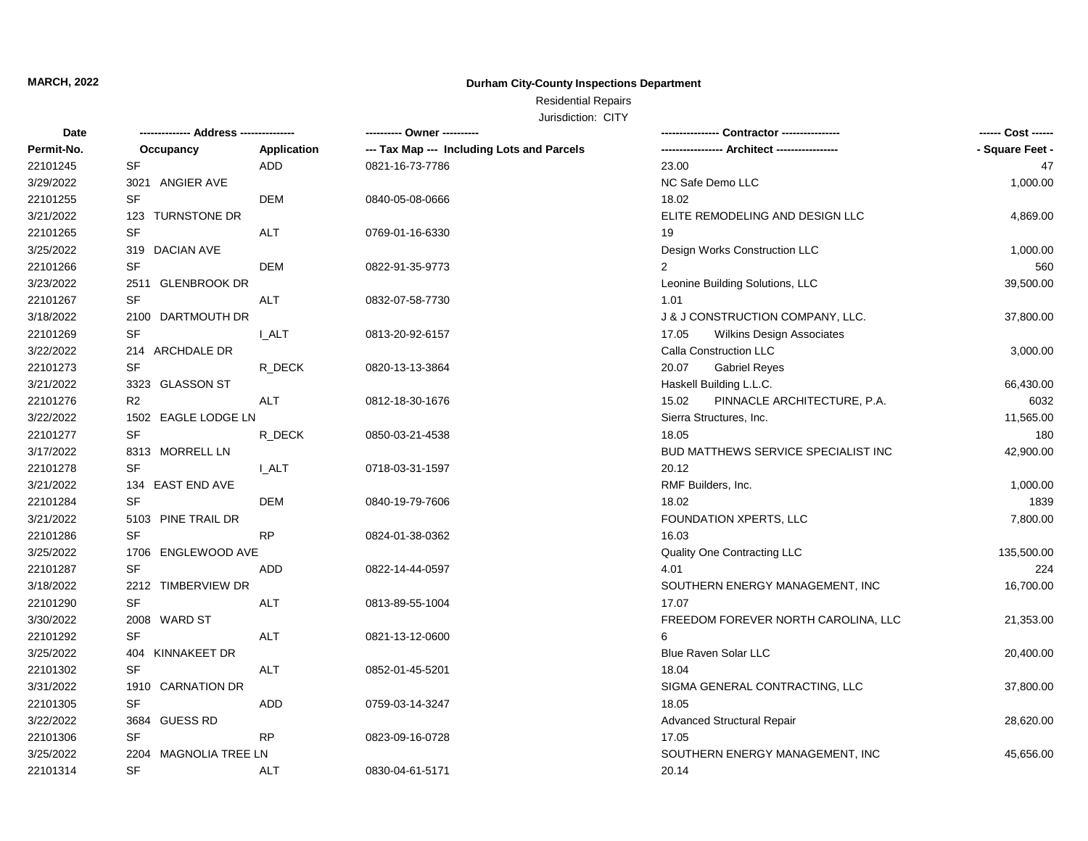### **Durham City-County Inspections Department**

## Residential Repairs

| Date       | -------------- Address --------------- |              | ---------- Owner ----------                | Contractor ----------------          | ------ Cost ------ |
|------------|----------------------------------------|--------------|--------------------------------------------|--------------------------------------|--------------------|
| Permit-No. | Occupancy                              | Application  | --- Tax Map --- Including Lots and Parcels | - Architect -----------------        | - Square Feet -    |
| 22101245   | <b>SF</b>                              | <b>ADD</b>   | 0821-16-73-7786                            | 23.00                                | 47                 |
| 3/29/2022  | ANGIER AVE<br>3021                     |              |                                            | NC Safe Demo LLC                     | 1,000.00           |
| 22101255   | <b>SF</b>                              | <b>DEM</b>   | 0840-05-08-0666                            | 18.02                                |                    |
| 3/21/2022  | <b>TURNSTONE DR</b><br>123             |              |                                            | ELITE REMODELING AND DESIGN LLC      | 4,869.00           |
| 22101265   | <b>SF</b>                              | <b>ALT</b>   | 0769-01-16-6330                            | 19                                   |                    |
| 3/25/2022  | 319 DACIAN AVE                         |              |                                            | Design Works Construction LLC        | 1,000.00           |
| 22101266   | <b>SF</b>                              | <b>DEM</b>   | 0822-91-35-9773                            | 2                                    | 560                |
| 3/23/2022  | 2511<br><b>GLENBROOK DR</b>            |              |                                            | Leonine Building Solutions, LLC      | 39,500.00          |
| 22101267   | <b>SF</b>                              | <b>ALT</b>   | 0832-07-58-7730                            | 1.01                                 |                    |
| 3/18/2022  | 2100<br>DARTMOUTH DR                   |              |                                            | J & J CONSTRUCTION COMPANY, LLC.     | 37,800.00          |
| 22101269   | <b>SF</b>                              | <b>I_ALT</b> | 0813-20-92-6157                            | Wilkins Design Associates<br>17.05   |                    |
| 3/22/2022  | 214 ARCHDALE DR                        |              |                                            | Calla Construction LLC               | 3,000.00           |
| 22101273   | SF                                     | R_DECK       | 0820-13-13-3864                            | 20.07<br><b>Gabriel Reyes</b>        |                    |
| 3/21/2022  | 3323 GLASSON ST                        |              |                                            | Haskell Building L.L.C.              | 66,430.00          |
| 22101276   | R <sub>2</sub>                         | <b>ALT</b>   | 0812-18-30-1676                            | PINNACLE ARCHITECTURE, P.A.<br>15.02 | 6032               |
| 3/22/2022  | 1502 EAGLE LODGE LN                    |              |                                            | Sierra Structures, Inc.              | 11,565.00          |
| 22101277   | <b>SF</b>                              | R_DECK       | 0850-03-21-4538                            | 18.05                                | 180                |
| 3/17/2022  | 8313 MORRELL LN                        |              |                                            | BUD MATTHEWS SERVICE SPECIALIST INC  | 42,900.00          |
| 22101278   | <b>SF</b>                              | I ALT        | 0718-03-31-1597                            | 20.12                                |                    |
| 3/21/2022  | 134 EAST END AVE                       |              |                                            | RMF Builders, Inc.                   | 1,000.00           |
| 22101284   | <b>SF</b>                              | <b>DEM</b>   | 0840-19-79-7606                            | 18.02                                | 1839               |
| 3/21/2022  | 5103<br>PINE TRAIL DR                  |              |                                            | FOUNDATION XPERTS, LLC               | 7,800.00           |
| 22101286   | <b>SF</b>                              | <b>RP</b>    | 0824-01-38-0362                            | 16.03                                |                    |
| 3/25/2022  | 1706<br>ENGLEWOOD AVE                  |              |                                            | Quality One Contracting LLC          | 135,500.00         |
| 22101287   | <b>SF</b>                              | ADD          | 0822-14-44-0597                            | 4.01                                 | 224                |
| 3/18/2022  | 2212 TIMBERVIEW DR                     |              |                                            | SOUTHERN ENERGY MANAGEMENT, INC      | 16,700.00          |
| 22101290   | <b>SF</b>                              | <b>ALT</b>   | 0813-89-55-1004                            | 17.07                                |                    |
| 3/30/2022  | 2008 WARD ST                           |              |                                            | FREEDOM FOREVER NORTH CAROLINA, LLC  | 21,353.00          |
| 22101292   | <b>SF</b>                              | ALT          | 0821-13-12-0600                            | 6                                    |                    |
| 3/25/2022  | KINNAKEET DR<br>404                    |              |                                            | <b>Blue Raven Solar LLC</b>          | 20,400.00          |
| 22101302   | <b>SF</b>                              | ALT          | 0852-01-45-5201                            | 18.04                                |                    |
| 3/31/2022  | <b>CARNATION DR</b><br>1910            |              |                                            | SIGMA GENERAL CONTRACTING, LLC       | 37,800.00          |
| 22101305   | <b>SF</b>                              | <b>ADD</b>   | 0759-03-14-3247                            | 18.05                                |                    |
| 3/22/2022  | 3684 GUESS RD                          |              |                                            | <b>Advanced Structural Repair</b>    | 28,620.00          |
| 22101306   | <b>SF</b>                              | <b>RP</b>    | 0823-09-16-0728                            | 17.05                                |                    |
| 3/25/2022  | MAGNOLIA TREE LN<br>2204               |              |                                            | SOUTHERN ENERGY MANAGEMENT, INC      | 45,656.00          |
| 22101314   | <b>SF</b>                              | <b>ALT</b>   | 0830-04-61-5171                            | 20.14                                |                    |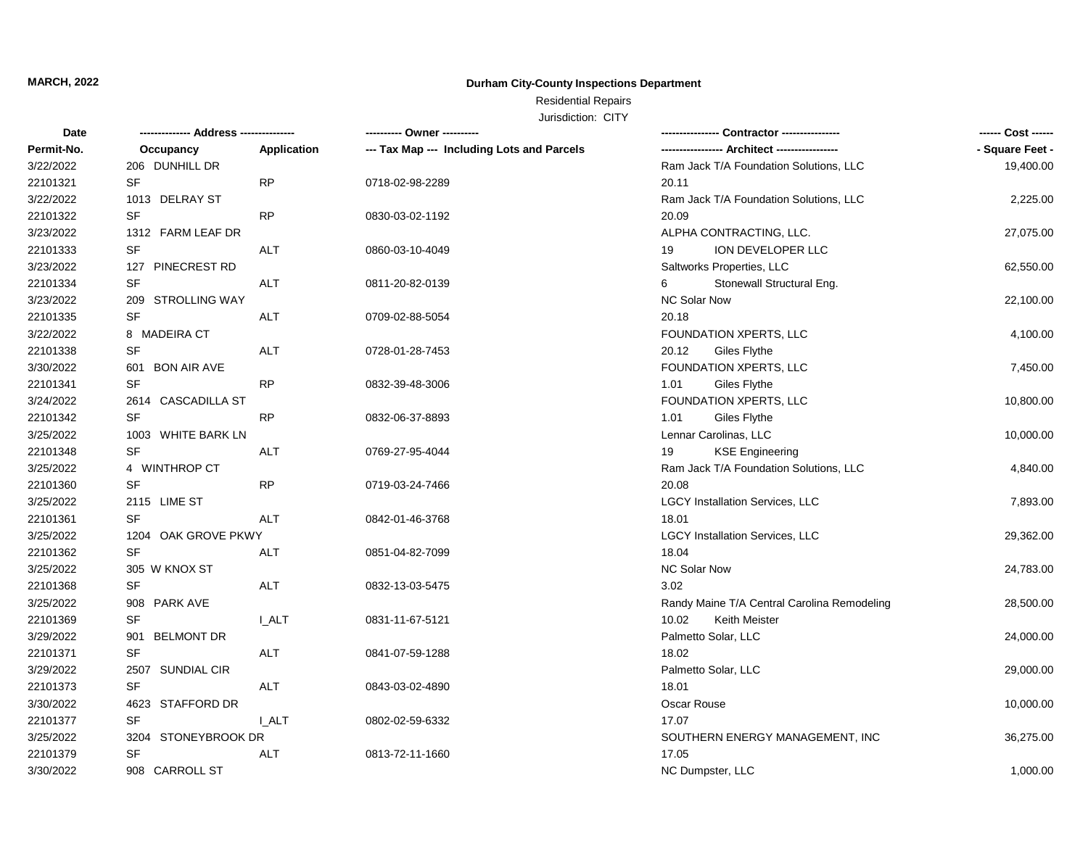### **Durham City-County Inspections Department**

## Residential Repairs

| Date       | --- Address -------------- |             | ---------- Owner ----------                | Contractor ----------------                 |                 |
|------------|----------------------------|-------------|--------------------------------------------|---------------------------------------------|-----------------|
| Permit-No. | Occupancy                  | Application | --- Tax Map --- Including Lots and Parcels |                                             | - Square Feet - |
| 3/22/2022  | 206 DUNHILL DR             |             |                                            | Ram Jack T/A Foundation Solutions, LLC      | 19,400.00       |
| 22101321   | SF                         | <b>RP</b>   | 0718-02-98-2289                            | 20.11                                       |                 |
| 3/22/2022  | 1013 DELRAY ST             |             |                                            | Ram Jack T/A Foundation Solutions, LLC      | 2,225.00        |
| 22101322   | <b>SF</b>                  | <b>RP</b>   | 0830-03-02-1192                            | 20.09                                       |                 |
| 3/23/2022  | 1312 FARM LEAF DR          |             |                                            | ALPHA CONTRACTING, LLC.                     | 27,075.00       |
| 22101333   | <b>SF</b>                  | ALT         | 0860-03-10-4049                            | ION DEVELOPER LLC<br>19                     |                 |
| 3/23/2022  | 127 PINECREST RD           |             |                                            | Saltworks Properties, LLC                   | 62,550.00       |
| 22101334   | SF                         | <b>ALT</b>  | 0811-20-82-0139                            | Stonewall Structural Eng.<br>6              |                 |
| 3/23/2022  | 209 STROLLING WAY          |             |                                            | <b>NC Solar Now</b>                         | 22,100.00       |
| 22101335   | <b>SF</b>                  | <b>ALT</b>  | 0709-02-88-5054                            | 20.18                                       |                 |
| 3/22/2022  | 8 MADEIRA CT               |             |                                            | FOUNDATION XPERTS, LLC                      | 4,100.00        |
| 22101338   | <b>SF</b>                  | <b>ALT</b>  | 0728-01-28-7453                            | 20.12<br>Giles Flythe                       |                 |
| 3/30/2022  | 601 BON AIR AVE            |             |                                            | FOUNDATION XPERTS, LLC                      | 7,450.00        |
| 22101341   | <b>SF</b>                  | <b>RP</b>   | 0832-39-48-3006                            | Giles Flythe<br>1.01                        |                 |
| 3/24/2022  | 2614 CASCADILLA ST         |             |                                            | FOUNDATION XPERTS, LLC                      | 10,800.00       |
| 22101342   | SF                         | <b>RP</b>   | 0832-06-37-8893                            | 1.01<br>Giles Flythe                        |                 |
| 3/25/2022  | 1003 WHITE BARK LN         |             |                                            | Lennar Carolinas, LLC                       | 10,000.00       |
| 22101348   | <b>SF</b>                  | ALT         | 0769-27-95-4044                            | <b>KSE Engineering</b><br>19                |                 |
| 3/25/2022  | 4 WINTHROP CT              |             |                                            | Ram Jack T/A Foundation Solutions, LLC      | 4,840.00        |
| 22101360   | <b>SF</b>                  | <b>RP</b>   | 0719-03-24-7466                            | 20.08                                       |                 |
| 3/25/2022  | 2115 LIME ST               |             |                                            | <b>LGCY Installation Services, LLC</b>      | 7,893.00        |
| 22101361   | SF                         | ALT         | 0842-01-46-3768                            | 18.01                                       |                 |
| 3/25/2022  | 1204 OAK GROVE PKWY        |             |                                            | <b>LGCY Installation Services, LLC</b>      | 29,362.00       |
| 22101362   | <b>SF</b>                  | <b>ALT</b>  | 0851-04-82-7099                            | 18.04                                       |                 |
| 3/25/2022  | 305 W KNOX ST              |             |                                            | NC Solar Now                                | 24,783.00       |
| 22101368   | <b>SF</b>                  | ALT         | 0832-13-03-5475                            | 3.02                                        |                 |
| 3/25/2022  | 908 PARK AVE               |             |                                            | Randy Maine T/A Central Carolina Remodeling | 28,500.00       |
| 22101369   | <b>SF</b>                  | I ALT       | 0831-11-67-5121                            | 10.02<br>Keith Meister                      |                 |
| 3/29/2022  | 901 BELMONT DR             |             |                                            | Palmetto Solar, LLC                         | 24,000.00       |
| 22101371   | <b>SF</b>                  | ALT         | 0841-07-59-1288                            | 18.02                                       |                 |
| 3/29/2022  | <b>SUNDIAL CIR</b><br>2507 |             |                                            | Palmetto Solar, LLC                         | 29,000.00       |
| 22101373   | <b>SF</b>                  | ALT         | 0843-03-02-4890                            | 18.01                                       |                 |
| 3/30/2022  | 4623 STAFFORD DR           |             |                                            | Oscar Rouse                                 | 10,000.00       |
| 22101377   | <b>SF</b>                  | I ALT       | 0802-02-59-6332                            | 17.07                                       |                 |
| 3/25/2022  | 3204 STONEYBROOK DR        |             |                                            | SOUTHERN ENERGY MANAGEMENT, INC             | 36,275.00       |
| 22101379   | SF                         | ALT         | 0813-72-11-1660                            | 17.05                                       |                 |
| 3/30/2022  | 908 CARROLL ST             |             |                                            | NC Dumpster, LLC                            | 1,000.00        |